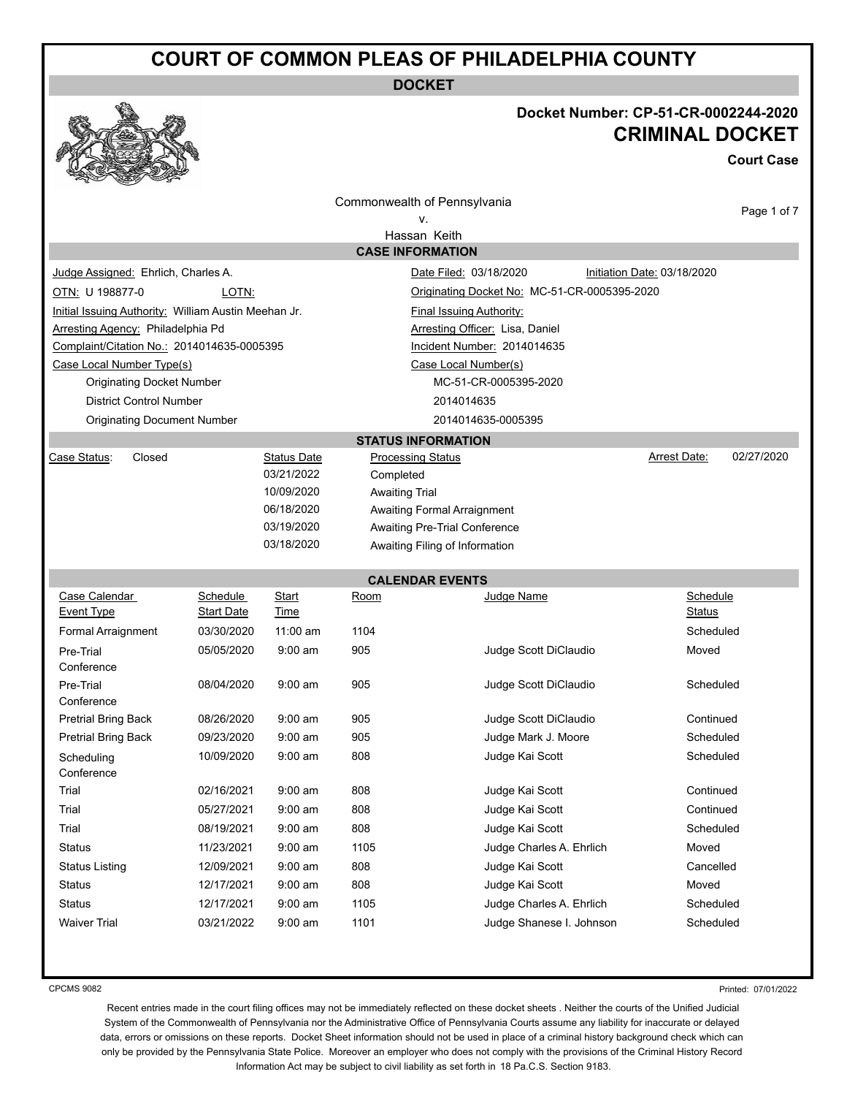# **COURT OF COMMON PLEAS OF PHILADELPHIA COUNTY**

**DOCKET**



### **Docket Number: CP-51-CR-0002244-2020 CRIMINAL DOCKET**

**Court Case**

| Commonwealth of Pennsylvania                                              |                   |                    |                               |                                              |  |                             |            |  |
|---------------------------------------------------------------------------|-------------------|--------------------|-------------------------------|----------------------------------------------|--|-----------------------------|------------|--|
| v.                                                                        |                   |                    |                               |                                              |  |                             |            |  |
| Hassan Keith                                                              |                   |                    |                               |                                              |  |                             |            |  |
| <b>CASE INFORMATION</b>                                                   |                   |                    |                               |                                              |  |                             |            |  |
| Judge Assigned: Ehrlich, Charles A.                                       |                   |                    |                               | Date Filed: 03/18/2020                       |  | Initiation Date: 03/18/2020 |            |  |
| OTN: U 198877-0                                                           | LOTN:             |                    |                               | Originating Docket No: MC-51-CR-0005395-2020 |  |                             |            |  |
| Initial Issuing Authority: William Austin Meehan Jr.                      |                   |                    |                               | <b>Final Issuing Authority:</b>              |  |                             |            |  |
| Arresting Agency: Philadelphia Pd                                         |                   |                    |                               | Arresting Officer: Lisa, Daniel              |  |                             |            |  |
| Complaint/Citation No.: 2014014635-0005395<br>Incident Number: 2014014635 |                   |                    |                               |                                              |  |                             |            |  |
| Case Local Number Type(s)                                                 |                   |                    |                               | Case Local Number(s)                         |  |                             |            |  |
| <b>Originating Docket Number</b>                                          |                   |                    |                               | MC-51-CR-0005395-2020                        |  |                             |            |  |
| <b>District Control Number</b>                                            |                   |                    |                               | 2014014635                                   |  |                             |            |  |
| <b>Originating Document Number</b>                                        |                   |                    |                               | 2014014635-0005395                           |  |                             |            |  |
|                                                                           |                   |                    |                               | <b>STATUS INFORMATION</b>                    |  |                             |            |  |
| Case Status:<br>Closed                                                    |                   | <b>Status Date</b> | <b>Processing Status</b>      |                                              |  | Arrest Date:                | 02/27/2020 |  |
|                                                                           |                   | 03/21/2022         | Completed                     |                                              |  |                             |            |  |
|                                                                           |                   | 10/09/2020         | <b>Awaiting Trial</b>         |                                              |  |                             |            |  |
|                                                                           |                   | 06/18/2020         |                               | <b>Awaiting Formal Arraignment</b>           |  |                             |            |  |
|                                                                           |                   | 03/19/2020         | Awaiting Pre-Trial Conference |                                              |  |                             |            |  |
|                                                                           |                   | 03/18/2020         |                               | Awaiting Filing of Information               |  |                             |            |  |
|                                                                           |                   |                    |                               | <b>CALENDAR EVENTS</b>                       |  |                             |            |  |
| Case Calendar<br>Schedule<br>Schedule<br>Start<br>Judge Name<br>Room      |                   |                    |                               |                                              |  |                             |            |  |
| <b>Event Type</b>                                                         | <b>Start Date</b> | <b>Time</b>        |                               |                                              |  | Status                      |            |  |
| Formal Arraignment                                                        | 03/30/2020        | $11:00$ am         | 1104                          |                                              |  | Scheduled                   |            |  |
| Pre-Trial                                                                 | 05/05/2020        | $9:00$ am          | 905                           | Judge Scott DiClaudio                        |  | Moved                       |            |  |
| Conference                                                                |                   |                    |                               |                                              |  |                             |            |  |
| Pre-Trial                                                                 | 08/04/2020        | $9:00$ am          | 905                           | Judge Scott DiClaudio                        |  | Scheduled                   |            |  |
| Conference                                                                |                   |                    |                               |                                              |  |                             |            |  |
| <b>Pretrial Bring Back</b>                                                | 08/26/2020        | $9:00$ am          | 905                           | Judge Scott DiClaudio                        |  | Continued                   |            |  |
| <b>Pretrial Bring Back</b>                                                | 09/23/2020        | $9:00$ am          | 905                           | Judge Mark J. Moore                          |  | Scheduled                   |            |  |
| Scheduling<br>Conference                                                  | 10/09/2020        | $9:00$ am          | 808                           | Judge Kai Scott                              |  | Scheduled                   |            |  |
| Trial                                                                     | 02/16/2021        | $9:00$ am          | 808                           | Judge Kai Scott                              |  | Continued                   |            |  |
| Trial                                                                     | 05/27/2021        | $9:00$ am          | 808                           | Judge Kai Scott                              |  | Continued                   |            |  |
| Trial                                                                     | 08/19/2021        | $9:00$ am          | 808                           | Judge Kai Scott                              |  | Scheduled                   |            |  |
| Status                                                                    | 11/23/2021        | $9:00$ am          | 1105                          | Judge Charles A. Ehrlich                     |  | Moved                       |            |  |
| <b>Status Listing</b>                                                     | 12/09/2021        | $9:00$ am          | 808                           | Judge Kai Scott                              |  | Cancelled                   |            |  |
| <b>Status</b>                                                             | 12/17/2021        | $9:00$ am          | 808                           | Judge Kai Scott                              |  | Moved                       |            |  |
| <b>Status</b>                                                             | 12/17/2021        | $9:00$ am          | 1105                          | Judge Charles A. Ehrlich                     |  | Scheduled                   |            |  |
| <b>Waiver Trial</b>                                                       | 03/21/2022        | 9:00 am            | 1101                          | Judge Shanese I. Johnson                     |  | Scheduled                   |            |  |
|                                                                           |                   |                    |                               |                                              |  |                             |            |  |
|                                                                           |                   |                    |                               |                                              |  |                             |            |  |

CPCMS 9082

Printed: 07/01/2022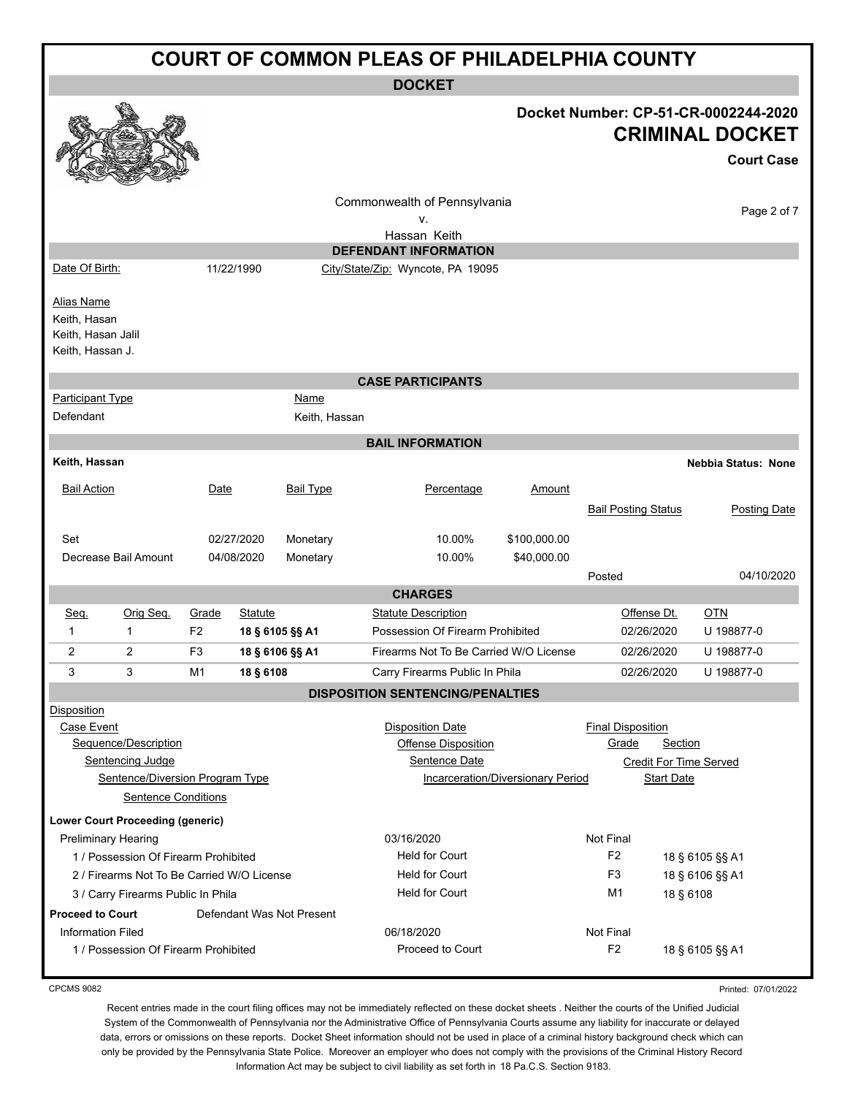|                                                                             | <b>COURT OF COMMON PLEAS OF PHILADELPHIA COUNTY</b>                                                              |                |                       |                           |                                                                        |                                   |                                   |                              |                                                                                     |
|-----------------------------------------------------------------------------|------------------------------------------------------------------------------------------------------------------|----------------|-----------------------|---------------------------|------------------------------------------------------------------------|-----------------------------------|-----------------------------------|------------------------------|-------------------------------------------------------------------------------------|
|                                                                             | <b>DOCKET</b>                                                                                                    |                |                       |                           |                                                                        |                                   |                                   |                              |                                                                                     |
|                                                                             |                                                                                                                  |                |                       |                           |                                                                        |                                   |                                   |                              | Docket Number: CP-51-CR-0002244-2020<br><b>CRIMINAL DOCKET</b><br><b>Court Case</b> |
|                                                                             |                                                                                                                  |                |                       |                           | Commonwealth of Pennsylvania<br>v.                                     |                                   |                                   |                              | Page 2 of 7                                                                         |
|                                                                             |                                                                                                                  |                |                       |                           | Hassan Keith                                                           |                                   |                                   |                              |                                                                                     |
| Date Of Birth:                                                              |                                                                                                                  |                | 11/22/1990            |                           | <b>DEFENDANT INFORMATION</b>                                           |                                   |                                   |                              |                                                                                     |
|                                                                             |                                                                                                                  |                |                       |                           | City/State/Zip: Wyncote, PA 19095                                      |                                   |                                   |                              |                                                                                     |
| <b>Alias Name</b><br>Keith, Hasan<br>Keith, Hasan Jalil<br>Keith, Hassan J. |                                                                                                                  |                |                       |                           |                                                                        |                                   |                                   |                              |                                                                                     |
|                                                                             |                                                                                                                  |                |                       |                           | <b>CASE PARTICIPANTS</b>                                               |                                   |                                   |                              |                                                                                     |
| <b>Participant Type</b><br>Defendant                                        |                                                                                                                  |                |                       | Name<br>Keith, Hassan     |                                                                        |                                   |                                   |                              |                                                                                     |
|                                                                             |                                                                                                                  |                |                       |                           | <b>BAIL INFORMATION</b>                                                |                                   |                                   |                              |                                                                                     |
| Keith, Hassan                                                               |                                                                                                                  |                |                       |                           |                                                                        |                                   |                                   |                              | <b>Nebbia Status: None</b>                                                          |
| <b>Bail Action</b>                                                          |                                                                                                                  | Date           |                       | <b>Bail Type</b>          | Percentage                                                             | Amount                            |                                   |                              |                                                                                     |
|                                                                             |                                                                                                                  |                |                       |                           |                                                                        |                                   | <b>Bail Posting Status</b>        |                              | <b>Posting Date</b>                                                                 |
| Set                                                                         |                                                                                                                  |                | 02/27/2020            | Monetary                  | 10.00%                                                                 | \$100,000.00                      |                                   |                              |                                                                                     |
|                                                                             | Decrease Bail Amount                                                                                             |                | 04/08/2020            | Monetary                  | 10.00%                                                                 | \$40,000.00                       |                                   |                              | 04/10/2020                                                                          |
|                                                                             |                                                                                                                  |                |                       |                           | <b>CHARGES</b>                                                         |                                   | Posted                            |                              |                                                                                     |
| Seq.                                                                        | Orig Seq.                                                                                                        | Grade          | <b>Statute</b>        |                           | <b>Statute Description</b>                                             |                                   | Offense Dt.                       |                              | <u>OTN</u>                                                                          |
| $\mathbf{1}$                                                                | $\mathbf{1}$                                                                                                     | F <sub>2</sub> |                       | 18 § 6105 §§ A1           | Possession Of Firearm Prohibited                                       |                                   | 02/26/2020                        |                              | U 198877-0                                                                          |
| $\overline{2}$                                                              | 2                                                                                                                | F <sub>3</sub> |                       | 18 § 6106 §§ A1           | Firearms Not To Be Carried W/O License                                 |                                   | 02/26/2020                        |                              | U 198877-0                                                                          |
| 3                                                                           | 3                                                                                                                | M <sub>1</sub> | 18 § 6108             |                           | Carry Firearms Public In Phila                                         |                                   | 02/26/2020                        |                              | U 198877-0                                                                          |
|                                                                             |                                                                                                                  |                |                       |                           | <b>DISPOSITION SENTENCING/PENALTIES</b>                                |                                   |                                   |                              |                                                                                     |
| <b>Disposition</b><br>Case Event                                            | Sequence/Description<br><b>Sentencing Judge</b><br>Sentence/Diversion Program Type<br><b>Sentence Conditions</b> |                |                       |                           | <b>Disposition Date</b><br><b>Offense Disposition</b><br>Sentence Date | Incarceration/Diversionary Period | <b>Final Disposition</b><br>Grade | Section<br><b>Start Date</b> | <b>Credit For Time Served</b>                                                       |
|                                                                             | <b>Lower Court Proceeding (generic)</b>                                                                          |                |                       |                           |                                                                        |                                   |                                   |                              |                                                                                     |
| <b>Preliminary Hearing</b>                                                  |                                                                                                                  |                |                       |                           | 03/16/2020                                                             |                                   | Not Final                         |                              |                                                                                     |
| 1 / Possession Of Firearm Prohibited                                        |                                                                                                                  |                |                       | <b>Held for Court</b>     |                                                                        | F <sub>2</sub>                    |                                   | 18 § 6105 §§ A1              |                                                                                     |
| 2 / Firearms Not To Be Carried W/O License                                  |                                                                                                                  |                | <b>Held for Court</b> |                           | F3                                                                     |                                   | 18 § 6106 §§ A1                   |                              |                                                                                     |
|                                                                             | 3 / Carry Firearms Public In Phila                                                                               |                |                       |                           | <b>Held for Court</b>                                                  |                                   | M1                                | 18 § 6108                    |                                                                                     |
| <b>Proceed to Court</b>                                                     |                                                                                                                  |                |                       | Defendant Was Not Present |                                                                        |                                   |                                   |                              |                                                                                     |
| <b>Information Filed</b>                                                    | 1 / Possession Of Firearm Prohibited                                                                             |                |                       |                           | 06/18/2020<br>Proceed to Court                                         |                                   | Not Final<br>F <sub>2</sub>       |                              | 18 § 6105 §§ A1                                                                     |
|                                                                             |                                                                                                                  |                |                       |                           |                                                                        |                                   |                                   |                              |                                                                                     |

Printed: 07/01/2022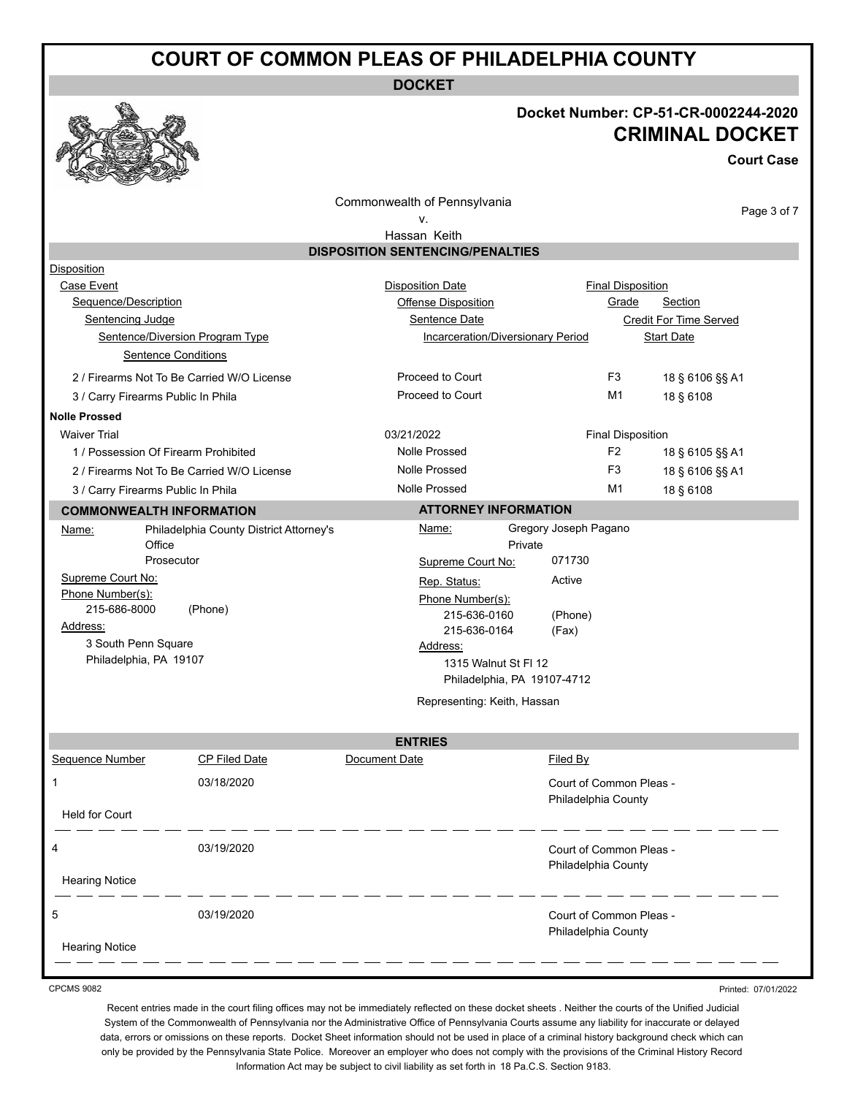## **COURT OF COMMON PLEAS OF PHILADELPHIA COUNTY**

**DOCKET**

### **Docket Number: CP-51-CR-0002244-2020 CRIMINAL DOCKET**

**Court Case**

Commonwealth of Pennsylvania

Page 3 of 7

v.

### Hassan Keith **DISPOSITION SENTENCING/PENALTIES** Disposition Case Event **Case Event Case Event Disposition Date Case Event Case Event Case Event Case Event Case Event Case Event Case Event Case Event Case Event Case Event Case Event Case Event Case Even** Sequence/Description **Sequence/Description** CHE CONSIDER Offense Disposition CHE CREATE Section Sentencing Judge Sentence Date Credit For Time Served Sentence/Diversion Program Type Incarceration/Diversionary Period Start Date Sentence Conditions 2 / Firearms Not To Be Carried W/O License **Proceed to Court** F3 18 § 6106 §§ A1 3 / Carry Firearms Public In Phila **Proceed to Court** M1 18 § 6108 **Nolle Prossed**  Waiver Trial **Contract Contract Contract Contract Contract Contract Contract Contract Contract Contract Contract Contract Contract Contract Contract Contract Contract Contract Contract Contract Contract Contract Contract C** 1 / Possession Of Firearm Prohibited Nolle Prossed Nolle Prossed F2 18 § 6105 §§ A1 2 / Firearms Not To Be Carried W/O License Nolle Prossed Nolle Prossed F3 18 § 6106 §§ A1 3 / Carry Firearms Public In Phila Nolle Prossed Nolle Prossed Nulle Prossed M1 18 § 6108 **COMMONWEALTH INFORMATION** Name: Philadelphia County District Attorney's **Office** Prosecutor Supreme Court No: Phone Number(s): 215-686-8000 (Phone) Address: 3 South Penn Square Philadelphia, PA 19107 **ATTORNEY INFORMATION** Name: Gregory Joseph Pagano Private Supreme Court No: 071730 Rep. Status: Active Phone Number(s): 215-636-0160 215-636-0164 (Phone) (Fax) Address: 1315 Walnut St Fl 12 Philadelphia, PA 19107-4712 Representing: Keith, Hassan **ENTRIES** Sequence Number CP Filed Date **Document Date CP Filed By** 1 03/18/2020 Court of Common Pleas - Philadelphia County Held for Court 4 03/19/2020 Court of Common Pleas - Philadelphia County Hearing Notice 5 03/19/2020 Court of Common Pleas - Philadelphia County

Hearing Notice

CPCMS 9082

Printed: 07/01/2022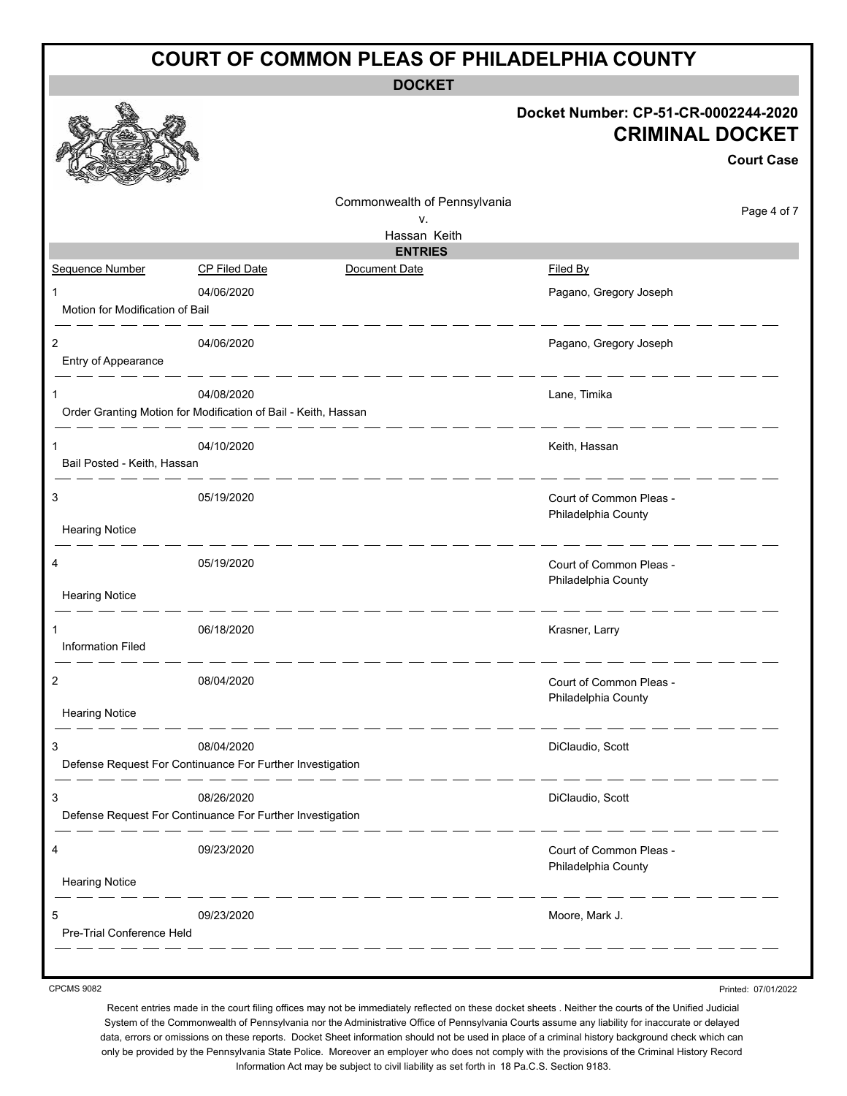| <b>COURT OF COMMON PLEAS OF PHILADELPHIA COUNTY</b> |                                                                              |                                 |                                                                                     |  |  |  |  |
|-----------------------------------------------------|------------------------------------------------------------------------------|---------------------------------|-------------------------------------------------------------------------------------|--|--|--|--|
|                                                     |                                                                              | <b>DOCKET</b>                   |                                                                                     |  |  |  |  |
|                                                     |                                                                              |                                 | Docket Number: CP-51-CR-0002244-2020<br><b>CRIMINAL DOCKET</b><br><b>Court Case</b> |  |  |  |  |
|                                                     |                                                                              | Commonwealth of Pennsylvania    | Page 4 of 7                                                                         |  |  |  |  |
|                                                     |                                                                              | v.<br>Hassan Keith              |                                                                                     |  |  |  |  |
| Sequence Number                                     | <b>CP Filed Date</b>                                                         | <b>ENTRIES</b><br>Document Date | Filed By                                                                            |  |  |  |  |
|                                                     |                                                                              |                                 |                                                                                     |  |  |  |  |
| 1<br>Motion for Modification of Bail                | 04/06/2020                                                                   |                                 | Pagano, Gregory Joseph                                                              |  |  |  |  |
| 2<br>Entry of Appearance                            | 04/06/2020                                                                   |                                 | Pagano, Gregory Joseph                                                              |  |  |  |  |
| 1                                                   | 04/08/2020<br>Order Granting Motion for Modification of Bail - Keith, Hassan |                                 | Lane, Timika                                                                        |  |  |  |  |
| 1                                                   | 04/10/2020                                                                   |                                 | Keith, Hassan                                                                       |  |  |  |  |
| Bail Posted - Keith, Hassan                         |                                                                              |                                 |                                                                                     |  |  |  |  |
| 3                                                   | 05/19/2020                                                                   |                                 | Court of Common Pleas -<br>Philadelphia County                                      |  |  |  |  |
| <b>Hearing Notice</b>                               |                                                                              |                                 |                                                                                     |  |  |  |  |
| 4                                                   | 05/19/2020                                                                   |                                 | Court of Common Pleas -<br>Philadelphia County                                      |  |  |  |  |
| <b>Hearing Notice</b>                               |                                                                              |                                 |                                                                                     |  |  |  |  |
| <b>Information Filed</b>                            | 06/18/2020                                                                   |                                 | Krasner, Larry                                                                      |  |  |  |  |
| $\overline{c}$                                      | 08/04/2020                                                                   |                                 | Court of Common Pleas -                                                             |  |  |  |  |
| <b>Hearing Notice</b>                               |                                                                              |                                 | Philadelphia County                                                                 |  |  |  |  |
| 3                                                   | 08/04/2020                                                                   |                                 | DiClaudio, Scott                                                                    |  |  |  |  |
|                                                     | Defense Request For Continuance For Further Investigation                    |                                 |                                                                                     |  |  |  |  |
| 3                                                   | 08/26/2020<br>Defense Request For Continuance For Further Investigation      |                                 | DiClaudio, Scott                                                                    |  |  |  |  |
| 4                                                   | 09/23/2020                                                                   |                                 | Court of Common Pleas -                                                             |  |  |  |  |
| <b>Hearing Notice</b>                               |                                                                              |                                 | Philadelphia County<br>____                                                         |  |  |  |  |
| 5<br>Pre-Trial Conference Held                      | 09/23/2020                                                                   |                                 | Moore, Mark J.                                                                      |  |  |  |  |
|                                                     |                                                                              |                                 |                                                                                     |  |  |  |  |

Recent entries made in the court filing offices may not be immediately reflected on these docket sheets . Neither the courts of the Unified Judicial System of the Commonwealth of Pennsylvania nor the Administrative Office of Pennsylvania Courts assume any liability for inaccurate or delayed data, errors or omissions on these reports. Docket Sheet information should not be used in place of a criminal history background check which can only be provided by the Pennsylvania State Police. Moreover an employer who does not comply with the provisions of the Criminal History Record Information Act may be subject to civil liability as set forth in 18 Pa.C.S. Section 9183.

Printed: 07/01/2022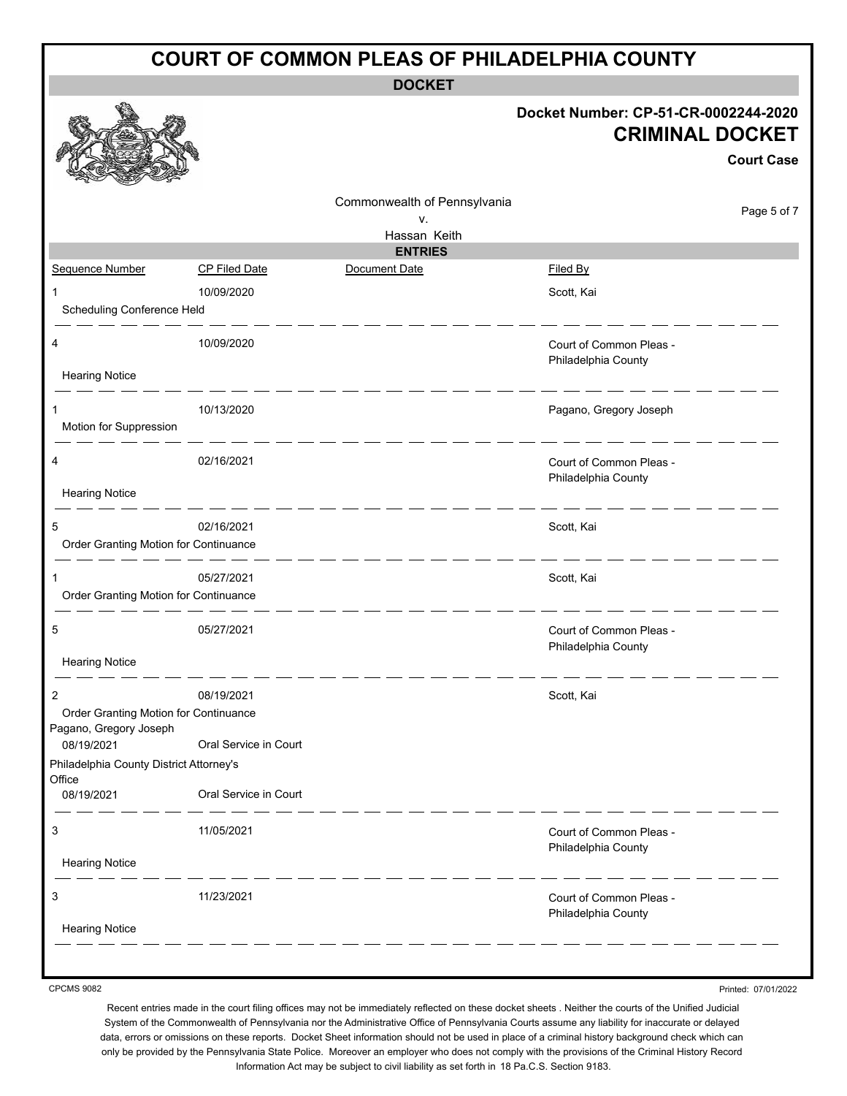| <b>COURT OF COMMON PLEAS OF PHILADELPHIA COUNTY</b>             |                       |                              |                                                                                     |  |  |  |
|-----------------------------------------------------------------|-----------------------|------------------------------|-------------------------------------------------------------------------------------|--|--|--|
| <b>DOCKET</b>                                                   |                       |                              |                                                                                     |  |  |  |
|                                                                 |                       |                              | Docket Number: CP-51-CR-0002244-2020<br><b>CRIMINAL DOCKET</b><br><b>Court Case</b> |  |  |  |
|                                                                 |                       | Commonwealth of Pennsylvania | Page 5 of 7                                                                         |  |  |  |
|                                                                 |                       | v.<br>Hassan Keith           |                                                                                     |  |  |  |
|                                                                 |                       | <b>ENTRIES</b>               |                                                                                     |  |  |  |
| Sequence Number                                                 | <b>CP Filed Date</b>  | Document Date                | <b>Filed By</b>                                                                     |  |  |  |
| 1                                                               | 10/09/2020            |                              | Scott, Kai                                                                          |  |  |  |
| Scheduling Conference Held                                      |                       |                              |                                                                                     |  |  |  |
| 4<br><b>Hearing Notice</b>                                      | 10/09/2020            |                              | Court of Common Pleas -<br>Philadelphia County                                      |  |  |  |
|                                                                 |                       |                              |                                                                                     |  |  |  |
| 1                                                               | 10/13/2020            |                              | Pagano, Gregory Joseph                                                              |  |  |  |
| Motion for Suppression                                          |                       |                              |                                                                                     |  |  |  |
| 4                                                               | 02/16/2021            |                              | Court of Common Pleas -<br>Philadelphia County                                      |  |  |  |
| <b>Hearing Notice</b>                                           |                       |                              |                                                                                     |  |  |  |
| 5<br>Order Granting Motion for Continuance                      | 02/16/2021            |                              | Scott, Kai                                                                          |  |  |  |
| 1                                                               | 05/27/2021            |                              | Scott, Kai                                                                          |  |  |  |
| Order Granting Motion for Continuance                           |                       |                              |                                                                                     |  |  |  |
|                                                                 |                       |                              |                                                                                     |  |  |  |
| 5                                                               | 05/27/2021            |                              | Court of Common Pleas -<br>Philadelphia County                                      |  |  |  |
| <b>Hearing Notice</b>                                           |                       |                              |                                                                                     |  |  |  |
| 2                                                               | 08/19/2021            |                              | Scott, Kai                                                                          |  |  |  |
| Order Granting Motion for Continuance<br>Pagano, Gregory Joseph |                       |                              |                                                                                     |  |  |  |
| 08/19/2021                                                      | Oral Service in Court |                              |                                                                                     |  |  |  |
| Philadelphia County District Attorney's<br>Office               |                       |                              |                                                                                     |  |  |  |
| 08/19/2021                                                      | Oral Service in Court |                              |                                                                                     |  |  |  |
| 3                                                               | 11/05/2021            |                              | Court of Common Pleas -<br>Philadelphia County                                      |  |  |  |
| <b>Hearing Notice</b>                                           |                       |                              |                                                                                     |  |  |  |
| 3                                                               | 11/23/2021            |                              | Court of Common Pleas -<br>Philadelphia County                                      |  |  |  |
| <b>Hearing Notice</b>                                           |                       |                              |                                                                                     |  |  |  |
|                                                                 |                       |                              |                                                                                     |  |  |  |
|                                                                 |                       |                              |                                                                                     |  |  |  |

Printed: 07/01/2022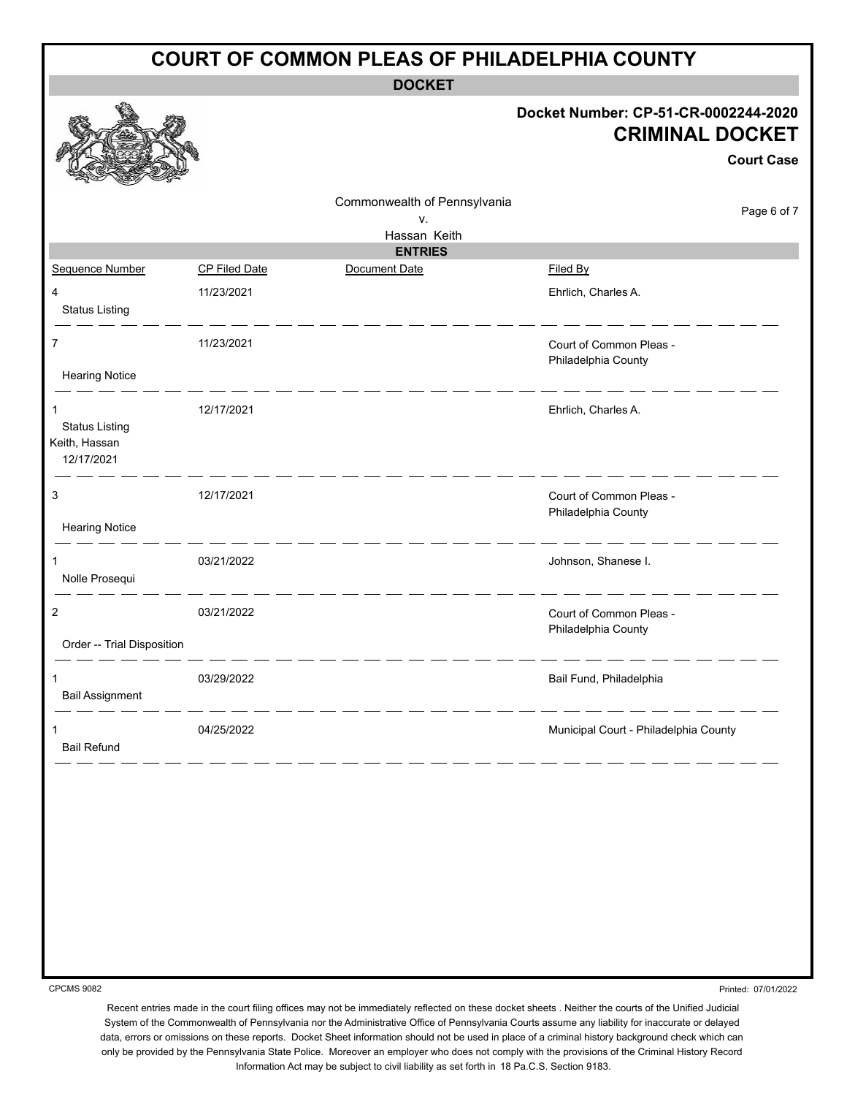| <b>COURT OF COMMON PLEAS OF PHILADELPHIA COUNTY</b>  |                      |                              |                                                                                     |  |  |  |
|------------------------------------------------------|----------------------|------------------------------|-------------------------------------------------------------------------------------|--|--|--|
| <b>DOCKET</b>                                        |                      |                              |                                                                                     |  |  |  |
|                                                      |                      |                              | Docket Number: CP-51-CR-0002244-2020<br><b>CRIMINAL DOCKET</b><br><b>Court Case</b> |  |  |  |
|                                                      |                      | Commonwealth of Pennsylvania | Page 6 of 7                                                                         |  |  |  |
|                                                      |                      | v.<br>Hassan Keith           |                                                                                     |  |  |  |
|                                                      |                      | <b>ENTRIES</b>               |                                                                                     |  |  |  |
| Sequence Number                                      | <b>CP Filed Date</b> | Document Date                | Filed By                                                                            |  |  |  |
| 4<br><b>Status Listing</b>                           | 11/23/2021           |                              | Ehrlich, Charles A.                                                                 |  |  |  |
| 7<br><b>Hearing Notice</b>                           | 11/23/2021           |                              | Court of Common Pleas -<br>Philadelphia County                                      |  |  |  |
| <b>Status Listing</b><br>Keith, Hassan<br>12/17/2021 | 12/17/2021           |                              | Ehrlich, Charles A.                                                                 |  |  |  |
| 3<br><b>Hearing Notice</b>                           | 12/17/2021           |                              | Court of Common Pleas -<br>Philadelphia County                                      |  |  |  |
| Nolle Prosequi                                       | 03/21/2022           |                              | Johnson, Shanese I.                                                                 |  |  |  |
| 2<br>Order -- Trial Disposition                      | 03/21/2022           |                              | Court of Common Pleas -<br>Philadelphia County                                      |  |  |  |
| 1<br><b>Bail Assignment</b>                          | 03/29/2022           |                              | Bail Fund, Philadelphia                                                             |  |  |  |
| 1<br><b>Bail Refund</b>                              | 04/25/2022           |                              | Municipal Court - Philadelphia County                                               |  |  |  |
|                                                      |                      |                              |                                                                                     |  |  |  |

Printed: 07/01/2022